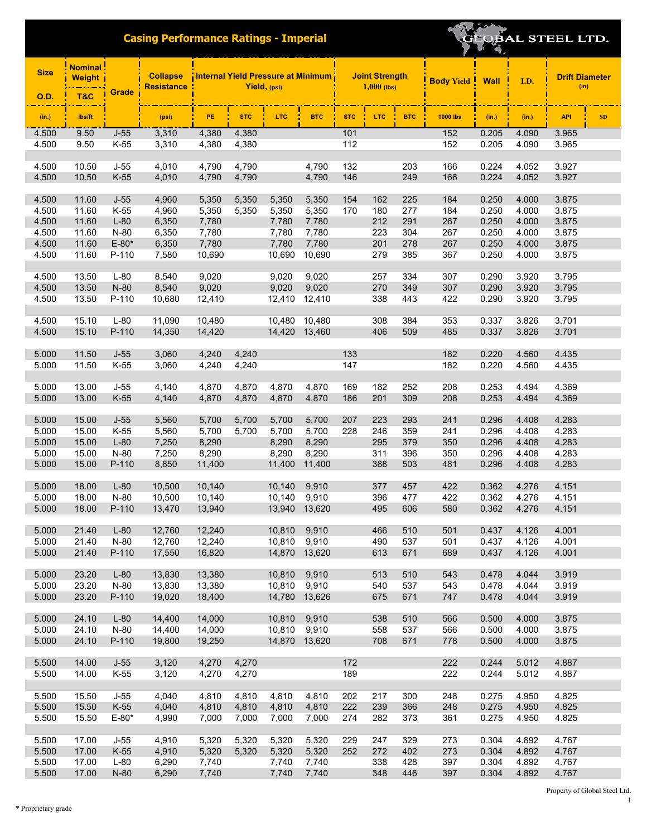# OBAL STEEL LTD.

| <b>Size</b>    | <b>Weight</b>  |                 | <b>Collapse</b><br><b>Resistance</b> | Internal Yield Pressure at Minimum<br>Yield, (psi) |                |                  |                 | <b>Joint Strength</b><br>$1,000$ (lbs) |            |            | <b>Body Yield</b> | <b>Wall</b>    | I.D.           | <b>Drift Diameter</b><br>(in) |
|----------------|----------------|-----------------|--------------------------------------|----------------------------------------------------|----------------|------------------|-----------------|----------------------------------------|------------|------------|-------------------|----------------|----------------|-------------------------------|
| <b>O.D.</b>    | <b>T&amp;C</b> | Grade           |                                      |                                                    |                |                  |                 |                                        |            |            |                   |                |                |                               |
| (in.)          | lbs/ft         |                 | (psi)                                | PE.                                                | <b>STC</b>     | <b>LTC</b>       | <b>BTC</b>      | <b>STC</b>                             | <b>LTC</b> | <b>BTC</b> | <b>1000 lbs</b>   | (in.)          | (in.)          | <b>API</b><br>SD              |
| 4.500          | 9.50           | $J-55$          | 3,310                                | 4,380                                              | 4,380          |                  |                 | 101                                    |            |            | 152               | 0.205          | 4.090          | 3.965                         |
| 4.500          | 9.50           | K-55            | 3,310                                | 4,380                                              | 4,380          |                  |                 | 112                                    |            |            | 152               | 0.205          | 4.090          | 3.965                         |
| 4.500          | 10.50          | $J-55$          | 4,010                                | 4,790                                              | 4,790          |                  | 4,790           | 132                                    |            | 203        | 166               | 0.224          | 4.052          | 3.927                         |
| 4.500          | 10.50          | $K-55$          | 4,010                                | 4,790                                              | 4,790          |                  | 4,790           | 146                                    |            | 249        | 166               | 0.224          | 4.052          | 3.927                         |
|                |                |                 |                                      |                                                    |                |                  |                 |                                        |            |            |                   |                |                |                               |
| 4.500          | 11.60          | $J-55$          | 4,960                                | 5,350                                              | 5,350          | 5,350            | 5,350           | 154                                    | 162        | 225        | 184               | 0.250          | 4.000          | 3.875                         |
| 4.500          | 11.60          | $K-55$          | 4,960                                | 5,350                                              | 5,350          | 5,350            | 5,350           | 170                                    | 180        | 277        | 184               | 0.250          | 4.000          | 3.875                         |
| 4.500          | 11.60          | $L-80$          | 6,350                                | 7,780                                              |                | 7,780            | 7,780           |                                        | 212        | 291        | 267               | 0.250          | 4.000          | 3.875                         |
| 4.500<br>4.500 | 11.60<br>11.60 | N-80<br>$E-80*$ | 6,350<br>6,350                       | 7,780<br>7,780                                     |                | 7,780<br>7,780   | 7,780<br>7,780  |                                        | 223<br>201 | 304<br>278 | 267<br>267        | 0.250<br>0.250 | 4.000<br>4.000 | 3.875<br>3.875                |
| 4.500          | 11.60          | P-110           | 7,580                                | 10,690                                             |                | 10,690           | 10,690          |                                        | 279        | 385        | 367               | 0.250          | 4.000          | 3.875                         |
|                |                |                 |                                      |                                                    |                |                  |                 |                                        |            |            |                   |                |                |                               |
| 4.500          | 13.50          | $L-80$          | 8,540                                | 9,020                                              |                | 9,020            | 9,020           |                                        | 257        | 334        | 307               | 0.290          | 3.920          | 3.795                         |
| 4.500          | 13.50          | N-80            | 8,540                                | 9,020                                              |                | 9,020            | 9,020           |                                        | 270        | 349        | 307               | 0.290          | 3.920          | 3.795                         |
| 4.500          | 13.50          | P-110           | 10,680                               | 12,410                                             |                | 12,410           | 12,410          |                                        | 338        | 443        | 422               | 0.290          | 3.920          | 3.795                         |
|                |                |                 |                                      |                                                    |                |                  |                 |                                        |            |            |                   |                |                |                               |
| 4.500          | 15.10<br>15.10 | $L-80$<br>P-110 | 11,090                               | 10,480<br>14,420                                   |                | 10,480           | 10,480          |                                        | 308<br>406 | 384        | 353<br>485        | 0.337          | 3.826          | 3.701                         |
| 4.500          |                |                 | 14,350                               |                                                    |                | 14,420           | 13,460          |                                        |            | 509        |                   | 0.337          | 3.826          | 3.701                         |
| 5.000          | 11.50          | $J-55$          | 3,060                                | 4,240                                              | 4,240          |                  |                 | 133                                    |            |            | 182               | 0.220          | 4.560          | 4.435                         |
| 5.000          | 11.50          | K-55            | 3,060                                | 4,240                                              | 4,240          |                  |                 | 147                                    |            |            | 182               | 0.220          | 4.560          | 4.435                         |
|                |                |                 |                                      |                                                    |                |                  |                 |                                        |            |            |                   |                |                |                               |
| 5.000          | 13.00          | $J-55$          | 4,140                                | 4,870                                              | 4,870          | 4,870            | 4,870           | 169                                    | 182        | 252        | 208               | 0.253          | 4.494          | 4.369                         |
| 5.000          | 13.00          | $K-55$          | 4,140                                | 4,870                                              | 4,870          | 4,870            | 4,870           | 186                                    | 201        | 309        | 208               | 0.253          | 4.494          | 4.369                         |
| 5.000          | 15.00          | $J-55$          | 5,560                                | 5,700                                              | 5,700          | 5,700            | 5,700           | 207                                    | 223        | 293        | 241               | 0.296          | 4.408          | 4.283                         |
| 5.000          | 15.00          | K-55            | 5,560                                | 5,700                                              | 5,700          | 5,700            | 5,700           | 228                                    | 246        | 359        | 241               | 0.296          | 4.408          | 4.283                         |
| 5.000          | 15.00          | $L-80$          | 7,250                                | 8,290                                              |                | 8,290            | 8,290           |                                        | 295        | 379        | 350               | 0.296          | 4.408          | 4.283                         |
| 5.000          | 15.00          | N-80            | 7,250                                | 8,290                                              |                | 8,290            | 8,290           |                                        | 311        | 396        | 350               | 0.296          | 4.408          | 4.283                         |
| 5.000          | 15.00          | P-110           | 8,850                                | 11,400                                             |                | 11,400           | 11,400          |                                        | 388        | 503        | 481               | 0.296          | 4.408          | 4.283                         |
|                |                |                 |                                      |                                                    |                |                  |                 |                                        |            |            |                   |                |                |                               |
| 5.000          | 18.00          | $L-80$          | 10,500                               | 10,140                                             |                | 10,140           | 9,910           |                                        | 377        | 457        | 422               | 0.362          | 4.276          | 4.151                         |
| 5.000<br>5.000 | 18.00<br>18.00 | N-80<br>P-110   | 10,500<br>13,470                     | 10,140<br>13,940                                   |                | 10,140<br>13,940 | 9,910<br>13,620 |                                        | 396<br>495 | 477<br>606 | 422<br>580        | 0.362<br>0.362 | 4.276<br>4.276 | 4.151<br>4.151                |
|                |                |                 |                                      |                                                    |                |                  |                 |                                        |            |            |                   |                |                |                               |
| 5.000          | 21.40          | $L-80$          | 12,760                               | 12,240                                             |                | 10,810           | 9,910           |                                        | 466        | 510        | 501               | 0.437          | 4.126          | 4.001                         |
| 5.000          | 21.40          | $N-80$          | 12,760                               | 12,240                                             |                | 10,810 9,910     |                 |                                        | 490        | 537        | 501               | 0.437          | 4.126          | 4.001                         |
| 5.000          | 21.40          | P-110           | 17,550                               | 16,820                                             |                | 14,870 13,620    |                 |                                        | 613        | 671        | 689               | 0.437          | 4.126          | 4.001                         |
|                |                |                 |                                      |                                                    |                |                  |                 |                                        |            |            |                   |                |                |                               |
| 5.000<br>5.000 | 23.20<br>23.20 | $L-80$<br>N-80  | 13,830<br>13,830                     | 13,380<br>13,380                                   |                | 10,810<br>10,810 | 9,910<br>9,910  |                                        | 513<br>540 | 510<br>537 | 543<br>543        | 0.478<br>0.478 | 4.044<br>4.044 | 3.919<br>3.919                |
| 5.000          | 23.20          | P-110           | 19,020                               | 18,400                                             |                | 14,780           | 13,626          |                                        | 675        | 671        | 747               | 0.478          | 4.044          | 3.919                         |
|                |                |                 |                                      |                                                    |                |                  |                 |                                        |            |            |                   |                |                |                               |
| 5.000          | 24.10          | $L-80$          | 14,400                               | 14,000                                             |                | 10,810           | 9,910           |                                        | 538        | 510        | 566               | 0.500          | 4.000          | 3.875                         |
| 5.000          | 24.10          | N-80            | 14,400                               | 14,000                                             |                | 10,810           | 9,910           |                                        | 558        | 537        | 566               | 0.500          | 4.000          | 3.875                         |
| 5.000          | 24.10          | P-110           | 19,800                               | 19,250                                             |                | 14,870 13,620    |                 |                                        | 708        | 671        | 778               | 0.500          | 4.000          | 3.875                         |
|                |                |                 |                                      |                                                    |                |                  |                 |                                        |            |            |                   |                |                |                               |
| 5.500<br>5.500 | 14.00<br>14.00 | $J-55$<br>K-55  | 3,120<br>3,120                       | 4,270<br>4,270                                     | 4,270<br>4,270 |                  |                 | 172<br>189                             |            |            | 222<br>222        | 0.244<br>0.244 | 5.012<br>5.012 | 4.887<br>4.887                |
|                |                |                 |                                      |                                                    |                |                  |                 |                                        |            |            |                   |                |                |                               |
| 5.500          | 15.50          | $J-55$          | 4,040                                | 4,810                                              | 4,810          | 4,810            | 4,810           | 202                                    | 217        | 300        | 248               | 0.275          | 4.950          | 4.825                         |
| 5.500          | 15.50          | $K-55$          | 4,040                                | 4,810                                              | 4,810          | 4,810            | 4,810           | 222                                    | 239        | 366        | 248               | 0.275          | 4.950          | 4.825                         |
| 5.500          | 15.50          | $E - 80*$       | 4,990                                | 7,000                                              | 7,000          | 7,000            | 7,000           | 274                                    | 282        | 373        | 361               | 0.275          | 4.950          | 4.825                         |
|                |                |                 |                                      |                                                    |                |                  |                 |                                        |            |            |                   |                |                |                               |
| 5.500          | 17.00          | $J-55$          | 4,910                                | 5,320                                              | 5,320          | 5,320            | 5,320           | 229                                    | 247        | 329        | 273               | 0.304          | 4.892          | 4.767                         |
| 5.500          | 17.00          | $K-55$          | 4,910                                | 5,320                                              | 5,320          | 5,320            | 5,320           | 252                                    | 272        | 402        | 273               | 0.304          | 4.892          | 4.767                         |
| 5.500<br>5.500 | 17.00<br>17.00 | $L-80$<br>N-80  | 6,290<br>6,290                       | 7,740<br>7,740                                     |                | 7,740<br>7,740   | 7,740<br>7,740  |                                        | 338<br>348 | 428<br>446 | 397<br>397        | 0.304<br>0.304 | 4.892<br>4.892 | 4.767<br>4.767                |
|                |                |                 |                                      |                                                    |                |                  |                 |                                        |            |            |                   |                |                |                               |

Property of Global Steel Ltd. 1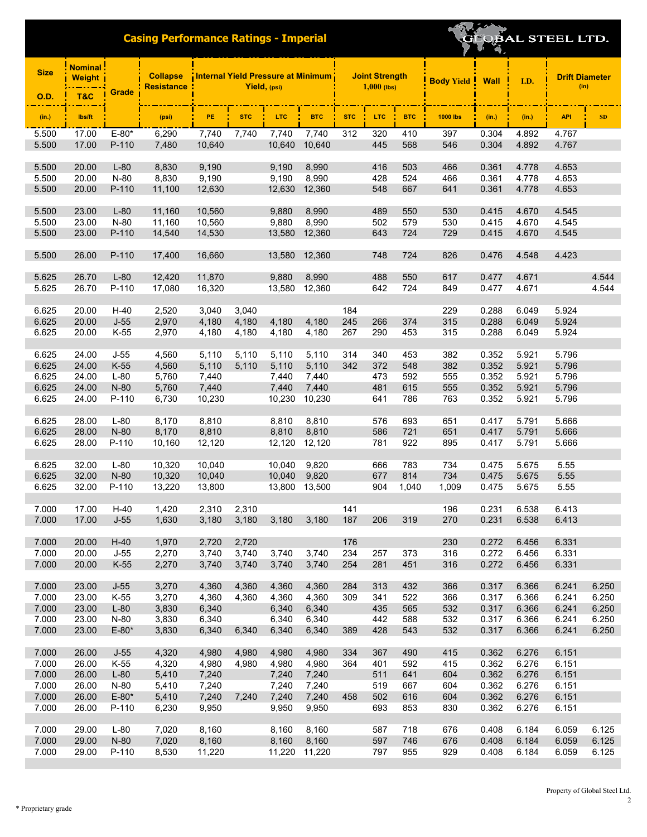| <b>Size</b>    | <b>Nominal</b><br>Weight |                  | <b>Collapse</b><br><b>Resistance</b> |                |                | Internal Yield Pressure at Minimum<br>Yield, (psi) |                |            | <b>Joint Strength</b><br>$1,000$ (lbs) |            | <b>Body Yield</b> | <b>Wall</b>    | I.D.           | <b>Drift Diameter</b><br>(in) |       |
|----------------|--------------------------|------------------|--------------------------------------|----------------|----------------|----------------------------------------------------|----------------|------------|----------------------------------------|------------|-------------------|----------------|----------------|-------------------------------|-------|
| <b>O.D.</b>    | <b>T&amp;C</b>           | <b>Grade</b>     |                                      |                |                |                                                    |                |            |                                        |            |                   |                |                |                               |       |
| (in.)          | lbs/ft                   |                  | (psi)                                | PE             | <b>STC</b>     | LTC.                                               | <b>BTC</b>     | <b>STC</b> | <b>LTC</b>                             | <b>BTC</b> | <b>1000 lbs</b>   | (in.)          | (in.)          | <b>API</b>                    | SD    |
| 5.500          | 17.00                    | $E-80*$          | 6,290                                | 7,740          | 7,740          | 7,740                                              | 7,740          | 312        | 320                                    | 410        | 397               | 0.304          | 4.892          | 4.767                         |       |
| 5.500          | 17.00                    | P-110            | 7,480                                | 10,640         |                | 10,640                                             | 10,640         |            | 445                                    | 568        | 546               | 0.304          | 4.892          | 4.767                         |       |
|                |                          |                  |                                      |                |                |                                                    |                |            |                                        |            |                   |                |                |                               |       |
| 5.500          | 20.00                    | $L-80$           | 8,830                                | 9,190          |                | 9,190                                              | 8,990          |            | 416                                    | 503        | 466               | 0.361          | 4.778          | 4.653                         |       |
| 5.500          | 20.00                    | N-80             | 8,830                                | 9,190          |                | 9,190                                              | 8,990          |            | 428                                    | 524        | 466               | 0.361          | 4.778          | 4.653                         |       |
| 5.500          | 20.00                    | P-110            | 11,100                               | 12,630         |                | 12,630                                             | 12,360         |            | 548                                    | 667        | 641               | 0.361          | 4.778          | 4.653                         |       |
| 5.500          | 23.00                    | $L-80$           | 11,160                               | 10,560         |                | 9,880                                              | 8,990          |            | 489                                    | 550        | 530               | 0.415          | 4.670          | 4.545                         |       |
| 5.500          | 23.00                    | $N-80$           | 11,160                               | 10,560         |                | 9,880                                              | 8,990          |            | 502                                    | 579        | 530               | 0.415          | 4.670          | 4.545                         |       |
| 5.500          | 23.00                    | P-110            | 14,540                               | 14,530         |                | 13,580                                             | 12,360         |            | 643                                    | 724        | 729               | 0.415          | 4.670          | 4.545                         |       |
|                |                          |                  |                                      |                |                |                                                    |                |            |                                        |            |                   |                |                |                               |       |
| 5.500          | 26.00                    | P-110            | 17,400                               | 16,660         |                | 13,580                                             | 12,360         |            | 748                                    | 724        | 826               | 0.476          | 4.548          | 4.423                         |       |
| 5.625          | 26.70                    | $L-80$           | 12,420                               | 11,870         |                | 9,880                                              | 8.990          |            | 488                                    | 550        | 617               | 0.477          | 4.671          |                               | 4.544 |
| 5.625          | 26.70                    | P-110            | 17,080                               | 16,320         |                | 13,580                                             | 12,360         |            | 642                                    | 724        | 849               | 0.477          | 4.671          |                               | 4.544 |
|                |                          |                  |                                      |                |                |                                                    |                |            |                                        |            |                   |                |                |                               |       |
| 6.625          | 20.00                    | $H-40$           | 2,520                                | 3,040          | 3,040          |                                                    |                | 184        |                                        |            | 229               | 0.288          | 6.049          | 5.924                         |       |
| 6.625          | 20.00                    | $J-55$           | 2,970                                | 4,180          | 4,180          | 4,180                                              | 4,180          | 245        | 266                                    | 374        | 315               | 0.288          | 6.049          | 5.924                         |       |
| 6.625          | 20.00                    | $K-55$           | 2,970                                | 4,180          | 4,180          | 4,180                                              | 4,180          | 267        | 290                                    | 453        | 315               | 0.288          | 6.049          | 5.924                         |       |
| 6.625          | 24.00                    | $J-55$           | 4,560                                | 5,110          | 5,110          | 5,110                                              | 5,110          | 314        | 340                                    | 453        | 382               | 0.352          | 5.921          | 5.796                         |       |
| 6.625          | 24.00                    | $K-55$           | 4,560                                | 5,110          | 5,110          | 5,110                                              | 5,110          | 342        | 372                                    | 548        | 382               | 0.352          | 5.921          | 5.796                         |       |
| 6.625          | 24.00                    | $L-80$           | 5,760                                | 7,440          |                | 7,440                                              | 7,440          |            | 473                                    | 592        | 555               | 0.352          | 5.921          | 5.796                         |       |
| 6.625          | 24.00                    | $N-80$           | 5,760                                | 7,440          |                | 7,440                                              | 7,440          |            | 481                                    | 615        | 555               | 0.352          | 5.921          | 5.796                         |       |
| 6.625          | 24.00                    | P-110            | 6,730                                | 10,230         |                | 10,230                                             | 10,230         |            | 641                                    | 786        | 763               | 0.352          | 5.921          | 5.796                         |       |
|                |                          |                  |                                      |                |                |                                                    |                |            |                                        |            |                   |                |                |                               |       |
| 6.625          | 28.00                    | $L-80$           | 8,170                                | 8,810          |                | 8,810                                              | 8,810          |            | 576                                    | 693        | 651               | 0.417          | 5.791          | 5.666                         |       |
| 6.625          | 28.00                    | $N-80$           | 8,170                                | 8,810          |                | 8,810                                              | 8,810          |            | 586                                    | 721        | 651               | 0.417          | 5.791          | 5.666                         |       |
| 6.625          | 28.00                    | P-110            | 10,160                               | 12,120         |                | 12,120                                             | 12,120         |            | 781                                    | 922        | 895               | 0.417          | 5.791          | 5.666                         |       |
| 6.625          | 32.00                    | $L-80$           | 10,320                               | 10,040         |                | 10,040                                             | 9,820          |            | 666                                    | 783        | 734               | 0.475          | 5.675          | 5.55                          |       |
| 6.625          | 32.00                    | $N-80$           | 10,320                               | 10,040         |                | 10,040                                             | 9,820          |            | 677                                    | 814        | 734               | 0.475          | 5.675          | 5.55                          |       |
| 6.625          | 32.00                    | P-110            | 13,220                               | 13,800         |                | 13,800                                             | 13,500         |            | 904                                    | 1,040      | 1,009             | 0.475          | 5.675          | 5.55                          |       |
|                |                          |                  |                                      |                |                |                                                    |                |            |                                        |            |                   |                |                |                               |       |
| 7.000          | 17.00                    | $H-40$           | 1,420                                | 2,310          | 2,310          |                                                    |                | 141        |                                        |            | 196               | 0.231          | 6.538          | 6.413                         |       |
| 7.000          | 17.00                    | $J-55$           | 1,630                                | 3,180          | 3,180          | 3,180                                              | 3,180          | 187        | 206                                    | 319        | 270               | 0.231          | 6.538          | 6.413                         |       |
|                |                          |                  |                                      |                |                |                                                    |                |            |                                        |            |                   |                |                |                               |       |
| 7.000          | 20.00                    | $H-40$           | 1,970                                | 2,720          | 2,720          |                                                    |                | 176        |                                        |            | 230               | 0.272          | 6.456          | 6.331                         |       |
| 7.000<br>7.000 | 20.00<br>20.00           | $J-55$<br>$K-55$ | 2,270<br>2,270                       | 3,740          | 3,740<br>3,740 | 3,740<br>3,740                                     | 3,740<br>3,740 | 234<br>254 | 257<br>281                             | 373<br>451 | 316<br>316        | 0.272<br>0.272 | 6.456<br>6.456 | 6.331<br>6.331                |       |
|                |                          |                  |                                      | 3,740          |                |                                                    |                |            |                                        |            |                   |                |                |                               |       |
| 7.000          | 23.00                    | $J-55$           | 3,270                                | 4,360          | 4,360          | 4,360                                              | 4,360          | 284        | 313                                    | 432        | 366               | 0.317          | 6.366          | 6.241                         | 6.250 |
| 7.000          | 23.00                    | K-55             | 3,270                                | 4,360          | 4,360          | 4,360                                              | 4,360          | 309        | 341                                    | 522        | 366               | 0.317          | 6.366          | 6.241                         | 6.250 |
| 7.000          | 23.00                    | $L-80$           | 3,830                                | 6,340          |                | 6,340                                              | 6,340          |            | 435                                    | 565        | 532               | 0.317          | 6.366          | 6.241                         | 6.250 |
| 7.000          | 23.00                    | N-80             | 3,830                                | 6,340          |                | 6,340                                              | 6,340          |            | 442                                    | 588        | 532               | 0.317          | 6.366          | 6.241                         | 6.250 |
| 7.000          | 23.00                    | $E-80*$          | 3,830                                | 6,340          | 6,340          | 6,340                                              | 6,340          | 389        | 428                                    | 543        | 532               | 0.317          | 6.366          | 6.241                         | 6.250 |
|                |                          |                  |                                      |                |                |                                                    |                |            |                                        |            |                   |                |                |                               |       |
| 7.000<br>7.000 | 26.00                    | $J-55$           | 4,320<br>4,320                       | 4,980<br>4,980 | 4,980          | 4,980                                              | 4,980          | 334<br>364 | 367<br>401                             | 490        | 415<br>415        | 0.362<br>0.362 | 6.276<br>6.276 | 6.151<br>6.151                |       |
| 7.000          | 26.00<br>26.00           | K-55<br>$L-80$   | 5,410                                | 7,240          | 4,980          | 4,980<br>7,240                                     | 4,980<br>7,240 |            | 511                                    | 592<br>641 | 604               | 0.362          | 6.276          | 6.151                         |       |
| 7.000          | 26.00                    | N-80             | 5,410                                | 7,240          |                | 7,240                                              | 7,240          |            | 519                                    | 667        | 604               | 0.362          | 6.276          | 6.151                         |       |
| 7.000          | 26.00                    | $E-80*$          | 5,410                                | 7,240          | 7,240          | 7,240                                              | 7,240          | 458        | 502                                    | 616        | 604               | 0.362          | 6.276          | 6.151                         |       |
| 7.000          | 26.00                    | P-110            | 6,230                                | 9,950          |                | 9,950                                              | 9,950          |            | 693                                    | 853        | 830               | 0.362          | 6.276          | 6.151                         |       |
|                |                          |                  |                                      |                |                |                                                    |                |            |                                        |            |                   |                |                |                               |       |
| 7.000          | 29.00                    | $L-80$           | 7,020                                | 8,160          |                | 8,160                                              | 8,160          |            | 587                                    | 718        | 676               | 0.408          | 6.184          | 6.059                         | 6.125 |
| 7.000          | 29.00                    | N-80             | 7,020                                | 8,160          |                | 8,160                                              | 8,160          |            | 597                                    | 746        | 676               | 0.408          | 6.184          | 6.059                         | 6.125 |
| 7.000          | 29.00                    | P-110            | 8,530                                | 11,220         |                | 11,220 11,220                                      |                |            | 797                                    | 955        | 929               | 0.408          | 6.184          | 6.059                         | 6.125 |

**EOBAL STEEL LTD.** 

2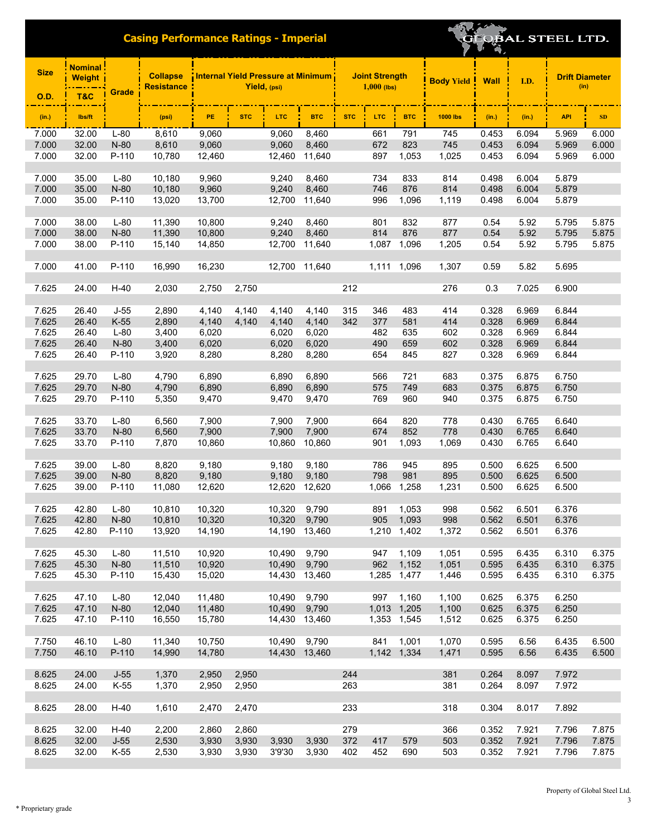|  |  | BAL STEEL LTD. |  |
|--|--|----------------|--|
|  |  |                |  |

| <b>Size</b>    | <b>Nominal:</b><br>Weight |                  | <b>Collapse</b><br><b>Resistance</b> | Internal Yield Pressure at Minimum<br>Yield, (psi) |                |                  |                |            | <b>Joint Strength</b><br>$1,000$ (lbs) |                | <b>Body Yield Wall</b> |                | I.D.           | <b>Drift Diameter</b><br>(in) |                |
|----------------|---------------------------|------------------|--------------------------------------|----------------------------------------------------|----------------|------------------|----------------|------------|----------------------------------------|----------------|------------------------|----------------|----------------|-------------------------------|----------------|
| <b>O.D.</b>    | T&C                       | Grade            |                                      |                                                    |                |                  |                |            |                                        |                |                        |                |                |                               |                |
| (in.)          | lbs/ft                    |                  | (psi)                                | PE.                                                | <b>STC</b>     | LTC              | <b>BTC</b>     | <b>STC</b> | <b>LTC</b>                             | <b>BTC</b>     | <b>1000 lbs</b>        | (in.)          | (in.)          | <b>API</b>                    | SD             |
| 7.000          | 32.00                     | $L-80$           | 8,610                                | 9,060                                              |                | 9,060            | 8,460          |            | 661                                    | 791            | 745                    | 0.453          | 6.094          | 5.969                         | 6.000          |
| 7.000          | 32.00                     | $N-80$           | 8,610                                | 9,060                                              |                | 9,060            | 8,460          |            | 672                                    | 823            | 745                    | 0.453          | 6.094          | 5.969                         | 6.000          |
| 7.000          | 32.00                     | P-110            | 10,780                               | 12,460                                             |                | 12,460           | 11,640         |            | 897                                    | 1,053          | 1,025                  | 0.453          | 6.094          | 5.969                         | 6.000          |
|                |                           | $L-80$           | 10,180                               |                                                    |                | 9,240            |                |            |                                        |                | 814                    |                |                | 5.879                         |                |
| 7.000<br>7.000 | 35.00<br>35.00            | N-80             | 10,180                               | 9,960<br>9,960                                     |                | 9,240            | 8,460<br>8,460 |            | 734<br>746                             | 833<br>876     | 814                    | 0.498<br>0.498 | 6.004<br>6.004 | 5.879                         |                |
| 7.000          | 35.00                     | P-110            | 13,020                               | 13,700                                             |                | 12,700           | 11,640         |            | 996                                    | 1,096          | 1,119                  | 0.498          | 6.004          | 5.879                         |                |
|                |                           |                  |                                      |                                                    |                |                  |                |            |                                        |                |                        |                |                |                               |                |
| 7.000          | 38.00                     | $L-80$           | 11,390                               | 10,800                                             |                | 9,240            | 8,460          |            | 801                                    | 832            | 877                    | 0.54           | 5.92           | 5.795                         | 5.875          |
| 7.000          | 38.00                     | $N-80$           | 11,390                               | 10,800                                             |                | 9,240            | 8,460          |            | 814                                    | 876            | 877                    | 0.54           | 5.92           | 5.795                         | 5.875          |
| 7.000          | 38.00                     | P-110            | 15,140                               | 14,850                                             |                | 12,700           | 11,640         |            | 1,087                                  | 1,096          | 1,205                  | 0.54           | 5.92           | 5.795                         | 5.875          |
|                |                           |                  |                                      |                                                    |                |                  |                |            |                                        |                |                        |                |                |                               |                |
| 7.000          | 41.00                     | P-110            | 16,990                               | 16,230                                             |                | 12,700           | 11,640         |            | 1,111                                  | 1,096          | 1,307                  | 0.59           | 5.82           | 5.695                         |                |
| 7.625          | 24.00                     | $H-40$           | 2,030                                | 2,750                                              | 2,750          |                  |                | 212        |                                        |                | 276                    | 0.3            | 7.025          | 6.900                         |                |
|                |                           |                  |                                      |                                                    |                |                  |                |            |                                        |                |                        |                |                |                               |                |
| 7.625          | 26.40                     | $J-55$           | 2,890                                | 4,140                                              | 4,140          | 4,140            | 4,140          | 315        | 346                                    | 483            | 414                    | 0.328          | 6.969          | 6.844                         |                |
| 7.625          | 26.40                     | $K-55$           | 2,890                                | 4,140                                              | 4,140          | 4,140            | 4,140          | 342        | 377                                    | 581            | 414                    | 0.328          | 6.969          | 6.844                         |                |
| 7.625          | 26.40                     | $L-80$           | 3,400                                | 6,020                                              |                | 6,020            | 6,020          |            | 482                                    | 635            | 602                    | 0.328          | 6.969          | 6.844                         |                |
| 7.625          | 26.40                     | N-80             | 3,400                                | 6,020                                              |                | 6,020            | 6,020          |            | 490                                    | 659            | 602                    | 0.328          | 6.969          | 6.844                         |                |
| 7.625          | 26.40                     | P-110            | 3,920                                | 8,280                                              |                | 8,280            | 8,280          |            | 654                                    | 845            | 827                    | 0.328          | 6.969          | 6.844                         |                |
|                |                           |                  |                                      |                                                    |                |                  |                |            |                                        |                |                        |                |                |                               |                |
| 7.625          | 29.70                     | $L-80$           | 4,790                                | 6,890                                              |                | 6,890            | 6,890          |            | 566                                    | 721            | 683                    | 0.375          | 6.875          | 6.750                         |                |
| 7.625<br>7.625 | 29.70<br>29.70            | $N-80$<br>P-110  | 4,790<br>5,350                       | 6,890<br>9,470                                     |                | 6,890<br>9,470   | 6,890<br>9,470 |            | 575<br>769                             | 749<br>960     | 683<br>940             | 0.375<br>0.375 | 6.875<br>6.875 | 6.750<br>6.750                |                |
|                |                           |                  |                                      |                                                    |                |                  |                |            |                                        |                |                        |                |                |                               |                |
| 7.625          | 33.70                     | $L-80$           | 6,560                                | 7,900                                              |                | 7,900            | 7,900          |            | 664                                    | 820            | 778                    | 0.430          | 6.765          | 6.640                         |                |
| 7.625          | 33.70                     | N-80             | 6,560                                | 7,900                                              |                | 7,900            | 7,900          |            | 674                                    | 852            | 778                    | 0.430          | 6.765          | 6.640                         |                |
| 7.625          | 33.70                     | P-110            | 7,870                                | 10,860                                             |                | 10,860           | 10,860         |            | 901                                    | 1,093          | 1,069                  | 0.430          | 6.765          | 6.640                         |                |
|                |                           |                  |                                      |                                                    |                |                  |                |            |                                        |                |                        |                |                |                               |                |
| 7.625          | 39.00                     | $L-80$           | 8,820                                | 9,180                                              |                | 9,180            | 9,180          |            | 786                                    | 945            | 895                    | 0.500          | 6.625          | 6.500                         |                |
| 7.625          | 39.00                     | N-80             | 8,820                                | 9,180                                              |                | 9,180            | 9,180          |            | 798                                    | 981            | 895                    | 0.500          | 6.625          | 6.500                         |                |
| 7.625          | 39.00                     | P-110            | 11,080                               | 12,620                                             |                | 12,620           | 12,620         |            | 1,066                                  | 1,258          | 1,231                  | 0.500          | 6.625          | 6.500                         |                |
|                |                           |                  |                                      |                                                    |                |                  |                |            |                                        |                |                        |                |                |                               |                |
| 7.625<br>7.625 | 42.80<br>42.80            | $L-80$           | 10,810                               | 10,320                                             |                | 10,320<br>10,320 | 9,790          |            | 891<br>905                             | 1,053          | 998<br>998             | 0.562          | 6.501<br>6.501 | 6.376                         |                |
| 7.625          | 42.80                     | N-80<br>P-110    | 10,810<br>13,920                     | 10,320<br>14,190                                   |                | 14,190 13,460    | 9,790          |            | 1,210                                  | 1,093<br>1,402 | 1,372                  | 0.562<br>0.562 | 6.501          | 6.376<br>6.376                |                |
|                |                           |                  |                                      |                                                    |                |                  |                |            |                                        |                |                        |                |                |                               |                |
| 7.625          | 45.30                     | $L-80$           | 11,510                               | 10,920                                             |                | 10,490           | 9,790          |            | 947                                    | 1,109          | 1,051                  | 0.595          | 6.435          | 6.310                         | 6.375          |
| 7.625          | 45.30                     | N-80             | 11,510                               | 10,920                                             |                | 10,490           | 9,790          |            | 962                                    | 1,152          | 1,051                  | 0.595          | 6.435          | 6.310                         | 6.375          |
| 7.625          | 45.30                     | P-110            | 15,430                               | 15,020                                             |                | 14,430           | 13,460         |            | 1,285                                  | 1,477          | 1,446                  | 0.595          | 6.435          | 6.310                         | 6.375          |
|                |                           |                  |                                      |                                                    |                |                  |                |            |                                        |                |                        |                |                |                               |                |
| 7.625          | 47.10                     | $L-80$           | 12,040                               | 11,480                                             |                | 10.490           | 9,790          |            | 997                                    | 1,160          | 1,100                  | 0.625          | 6.375          | 6.250                         |                |
| 7.625          | 47.10                     | N-80             | 12,040                               | 11,480                                             |                | 10,490           | 9,790          |            | 1,013                                  | 1,205          | 1,100                  | 0.625          | 6.375          | 6.250                         |                |
| 7.625          | 47.10                     | P-110            | 16,550                               | 15,780                                             |                | 14,430           | 13,460         |            |                                        | 1,353 1,545    | 1,512                  | 0.625          | 6.375          | 6.250                         |                |
| 7.750          | 46.10                     | $L-80$           | 11,340                               | 10,750                                             |                | 10,490           | 9,790          |            | 841                                    | 1,001          | 1,070                  | 0.595          | 6.56           | 6.435                         | 6.500          |
| 7.750          | 46.10                     | P-110            | 14,990                               | 14,780                                             |                | 14,430 13,460    |                |            |                                        | 1,142 1,334    | 1,471                  | 0.595          | 6.56           | 6.435                         | 6.500          |
|                |                           |                  |                                      |                                                    |                |                  |                |            |                                        |                |                        |                |                |                               |                |
| 8.625          | 24.00                     | $J-55$           | 1,370                                | 2,950                                              | 2,950          |                  |                | 244        |                                        |                | 381                    | 0.264          | 8.097          | 7.972                         |                |
| 8.625          | 24.00                     | K-55             | 1,370                                | 2,950                                              | 2,950          |                  |                | 263        |                                        |                | 381                    | 0.264          | 8.097          | 7.972                         |                |
|                |                           |                  |                                      |                                                    |                |                  |                |            |                                        |                |                        |                |                |                               |                |
| 8.625          | 28.00                     | $H-40$           | 1,610                                | 2,470                                              | 2,470          |                  |                | 233        |                                        |                | 318                    | 0.304          | 8.017          | 7.892                         |                |
|                |                           |                  |                                      |                                                    |                |                  |                |            |                                        |                |                        |                |                |                               |                |
| 8.625          | 32.00                     | $H-40$           | 2,200                                | 2,860                                              | 2,860          |                  |                | 279        | 417                                    |                | 366                    | 0.352          | 7.921          | 7.796                         | 7.875          |
| 8.625<br>8.625 | 32.00<br>32.00            | $J-55$<br>$K-55$ | 2,530<br>2,530                       | 3,930<br>3,930                                     | 3,930<br>3,930 | 3,930<br>3'9'30  | 3,930<br>3,930 | 372<br>402 | 452                                    | 579<br>690     | 503<br>503             | 0.352<br>0.352 | 7.921<br>7.921 | 7.796<br>7.796                | 7.875<br>7.875 |
|                |                           |                  |                                      |                                                    |                |                  |                |            |                                        |                |                        |                |                |                               |                |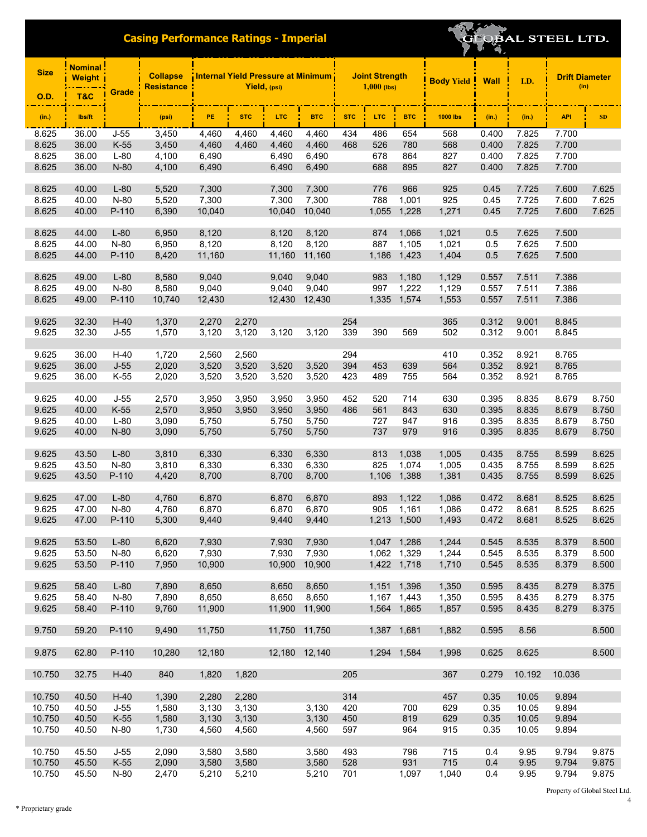| <b>Size</b>      | <b>Nominal</b><br><b>Weight</b> |                | <b>Collapse</b><br><b>Resistance</b> | Internal Yield Pressure at Minimum<br>Yield, (psi) |                |               |                |            | <b>Joint Strength</b><br>$1,000$ (lbs) |              |                 | <b>Body Yield</b><br><b>Wall</b> | I.D.         | <b>Drift Diameter</b><br>(in) |                |
|------------------|---------------------------------|----------------|--------------------------------------|----------------------------------------------------|----------------|---------------|----------------|------------|----------------------------------------|--------------|-----------------|----------------------------------|--------------|-------------------------------|----------------|
| <b>O.D.</b>      | T&C                             | Grade          |                                      |                                                    |                |               |                |            |                                        |              |                 |                                  |              |                               |                |
| (in.)            | lbs/ft                          |                | (psi)                                | PE                                                 | <b>STC</b>     | LTC.          | <b>BTC</b>     | <b>STC</b> | <b>LTC</b>                             | <b>BTC</b>   | <b>1000 lbs</b> | (in.)                            | (in.)        | <b>API</b>                    | <b>SD</b>      |
| 8.625            | 36.00                           | J-55           | 3,450                                | 4,460                                              | 4,460          | 4,460         | 4,460          | 434        | 486                                    | 654          | 568             | 0.400                            | 7.825        | 7.700                         |                |
| 8.625            | 36.00                           | $K-55$         | 3,450                                | 4,460                                              | 4,460          | 4,460         | 4,460          | 468        | 526                                    | 780          | 568             | 0.400                            | 7.825        | 7.700                         |                |
| 8.625            | 36.00                           | $L-80$         | 4,100                                | 6,490                                              |                | 6,490         | 6,490          |            | 678                                    | 864          | 827             | 0.400                            | 7.825        | 7.700                         |                |
| 8.625            | 36.00                           | $N-80$         | 4,100                                | 6,490                                              |                | 6,490         | 6,490          |            | 688                                    | 895          | 827             | 0.400                            | 7.825        | 7.700                         |                |
| 8.625            | 40.00                           | $L-80$         | 5,520                                | 7,300                                              |                | 7,300         | 7,300          |            | 776                                    | 966          | 925             | 0.45                             | 7.725        | 7.600                         | 7.625          |
| 8.625            | 40.00                           | N-80           | 5,520                                | 7,300                                              |                | 7,300         | 7,300          |            | 788                                    | 1,001        | 925             | 0.45                             | 7.725        | 7.600                         | 7.625          |
| 8.625            | 40.00                           | P-110          | 6,390                                | 10,040                                             |                | 10.040        | 10,040         |            | 1,055                                  | 1,228        | 1,271           | 0.45                             | 7.725        | 7.600                         | 7.625          |
| 8.625            | 44.00                           | $L-80$         | 6,950                                | 8,120                                              |                | 8,120         | 8,120          |            | 874                                    | 1,066        | 1,021           | 0.5                              | 7.625        | 7.500                         |                |
| 8.625            | 44.00                           | N-80           | 6,950                                | 8,120                                              |                | 8,120         | 8,120          |            | 887                                    | 1,105        | 1,021           | 0.5                              | 7.625        | 7.500                         |                |
| 8.625            | 44.00                           | P-110          | 8,420                                | 11,160                                             |                | 11,160        | 11,160         |            | 1,186                                  | 1,423        | 1,404           | 0.5                              | 7.625        | 7.500                         |                |
|                  |                                 |                |                                      |                                                    |                |               |                |            |                                        |              |                 |                                  |              |                               |                |
| 8.625            | 49.00                           | $L-80$         | 8,580                                | 9,040                                              |                | 9,040         | 9,040          |            | 983                                    | 1,180        | 1,129           | 0.557                            | 7.511        | 7.386                         |                |
| 8.625            | 49.00                           | N-80           | 8,580                                | 9,040                                              |                | 9,040         | 9.040          |            | 997                                    | 1,222        | 1,129           | 0.557                            | 7.511        | 7.386                         |                |
| 8.625            | 49.00                           | P-110          | 10,740                               | 12,430                                             |                | 12,430        | 12,430         |            | 1,335                                  | 1,574        | 1,553           | 0.557                            | 7.511        | 7.386                         |                |
|                  |                                 |                |                                      |                                                    |                |               |                |            |                                        |              |                 |                                  |              |                               |                |
| 9.625            | 32.30                           | $H-40$         | 1,370                                | 2,270                                              | 2,270          |               |                | 254        |                                        |              | 365             | 0.312                            | 9.001        | 8.845                         |                |
| 9.625            | 32.30                           | $J-55$         | 1,570                                | 3,120                                              | 3,120          | 3,120         | 3,120          | 339        | 390                                    | 569          | 502             | 0.312                            | 9.001        | 8.845                         |                |
| 9.625            | 36.00                           | $H-40$         | 1,720                                | 2,560                                              | 2,560          |               |                | 294        |                                        |              | 410             | 0.352                            | 8.921        | 8.765                         |                |
| 9.625            | 36.00                           | $J-55$         | 2,020                                | 3,520                                              | 3,520          | 3,520         | 3,520          | 394        | 453                                    | 639          | 564             | 0.352                            | 8.921        | 8.765                         |                |
| 9.625            | 36.00                           | $K-55$         | 2,020                                | 3,520                                              | 3,520          | 3,520         | 3,520          | 423        | 489                                    | 755          | 564             | 0.352                            | 8.921        | 8.765                         |                |
|                  |                                 |                |                                      |                                                    |                |               |                |            |                                        |              |                 |                                  |              |                               |                |
| 9.625            | 40.00                           | $J-55$         | 2,570                                | 3,950                                              | 3,950          | 3,950         | 3,950          | 452        | 520                                    | 714          | 630             | 0.395                            | 8.835        | 8.679                         | 8.750          |
| 9.625            | 40.00                           | $K-55$         | 2,570                                | 3,950                                              | 3,950          | 3,950         | 3,950          | 486        | 561                                    | 843          | 630             | 0.395                            | 8.835        | 8.679                         | 8.750          |
| 9.625            | 40.00                           | L-80           | 3,090                                | 5,750                                              |                | 5,750         | 5,750          |            | 727                                    | 947          | 916             | 0.395                            | 8.835        | 8.679                         | 8.750          |
| 9.625            | 40.00                           | N-80           | 3,090                                | 5,750                                              |                | 5,750         | 5,750          |            | 737                                    | 979          | 916             | 0.395                            | 8.835        | 8.679                         | 8.750          |
| 9.625            | 43.50                           | $L-80$         | 3,810                                | 6,330                                              |                | 6,330         | 6,330          |            | 813                                    | 1,038        | 1,005           | 0.435                            | 8.755        | 8.599                         | 8.625          |
| 9.625            | 43.50                           | N-80           | 3,810                                | 6,330                                              |                | 6,330         | 6,330          |            | 825                                    | 1,074        | 1,005           | 0.435                            | 8.755        | 8.599                         | 8.625          |
| 9.625            | 43.50                           | P-110          | 4,420                                | 8,700                                              |                | 8,700         | 8,700          |            | 1,106                                  | 1,388        | 1,381           | 0.435                            | 8.755        | 8.599                         | 8.625          |
|                  |                                 |                |                                      |                                                    |                |               |                |            |                                        |              |                 |                                  |              |                               |                |
| 9.625            | 47.00                           | $L-80$         | 4,760                                | 6,870                                              |                | 6,870         | 6,870          |            | 893                                    | 1,122        | 1,086           | 0.472                            | 8.681        | 8.525                         | 8.625          |
| 9.625            | 47.00                           | N-80           | 4,760                                | 6,870                                              |                | 6,870         | 6,870          |            | 905                                    | 1,161        | 1,086           | 0.472                            | 8.681        | 8.525                         | 8.625          |
| 9.625            | 47.00                           | P-110          | 5,300                                | 9,440                                              |                | 9,440         | 9,440          |            | 1,213                                  | 1,500        | 1,493           | 0.472                            | 8.681        | 8.525                         | 8.625          |
| 9.625            | 53.50                           | $L-80$         | 6,620                                | 7,930                                              |                | 7,930         | 7,930          |            | 1,047 1,286                            |              | 1,244           | 0.545                            | 8.535        | 8.379                         | 8.500          |
| 9.625            | 53.50                           | N-80           | 6,620                                | 7,930                                              |                | 7,930         | 7,930          |            | 1,062 1,329                            |              | 1,244           | 0.545                            | 8.535        | 8.379                         | 8.500          |
| 9.625            | 53.50                           | P-110          | 7,950                                | 10,900                                             |                | 10,900        | 10,900         |            |                                        | 1,422 1,718  | 1,710           | 0.545                            | 8.535        | 8.379                         | 8.500          |
| 9.625            | 58.40                           | $L-80$         | 7,890                                | 8,650                                              |                | 8,650         | 8,650          |            | 1,151 1,396                            |              | 1,350           | 0.595                            | 8.435        | 8.279                         | 8.375          |
| 9.625            | 58.40                           | $N-80$         | 7,890                                | 8,650                                              |                | 8,650         | 8,650          |            | 1,167 1,443                            |              | 1,350           | 0.595                            | 8.435        | 8.279                         | 8.375          |
| 9.625            | 58.40                           | P-110          | 9,760                                | 11,900                                             |                | 11,900        | 11,900         |            | 1,564 1,865                            |              | 1,857           | 0.595                            | 8.435        | 8.279                         | 8.375          |
|                  |                                 |                |                                      |                                                    |                |               |                |            |                                        |              |                 |                                  |              |                               |                |
| 9.750            | 59.20                           | P-110          | 9,490                                | 11,750                                             |                |               | 11,750 11,750  |            | 1,387 1,681                            |              | 1,882           | 0.595                            | 8.56         |                               | 8.500          |
| 9.875            | 62.80                           | P-110          | 10,280                               | 12,180                                             |                | 12,180 12,140 |                |            | 1,294 1,584                            |              | 1,998           | 0.625                            | 8.625        |                               | 8.500          |
| 10.750           | 32.75                           | $H-40$         | 840                                  | 1,820                                              | 1,820          |               |                | 205        |                                        |              | 367             | 0.279                            | 10.192       | 10.036                        |                |
| 10.750           | 40.50                           | $H-40$         | 1,390                                | 2,280                                              | 2,280          |               |                | 314        |                                        |              | 457             | 0.35                             | 10.05        | 9.894                         |                |
| 10.750           | 40.50                           | $J-55$         | 1,580                                | 3,130                                              | 3,130          |               | 3,130          | 420        |                                        | 700          | 629             | 0.35                             | 10.05        | 9.894                         |                |
| 10.750           | 40.50                           | $K-55$         | 1,580                                | 3,130                                              | 3,130          |               | 3,130          | 450        |                                        | 819          | 629             | 0.35                             | 10.05        | 9.894                         |                |
| 10.750           | 40.50                           | N-80           | 1,730                                | 4,560                                              | 4,560          |               | 4,560          | 597        |                                        | 964          | 915             | 0.35                             | 10.05        | 9.894                         |                |
|                  |                                 |                |                                      |                                                    |                |               |                |            |                                        |              |                 |                                  |              |                               |                |
| 10.750           | 45.50                           | $J-55$         | 2,090                                | 3,580                                              | 3,580          |               | 3,580          | 493        |                                        | 796          | 715             | 0.4                              | 9.95         | 9.794                         | 9.875          |
| 10.750<br>10.750 | 45.50<br>45.50                  | $K-55$<br>N-80 | 2,090<br>2,470                       | 3,580<br>5,210                                     | 3,580<br>5,210 |               | 3,580<br>5,210 | 528<br>701 |                                        | 931<br>1,097 | 715<br>1,040    | 0.4<br>0.4                       | 9.95<br>9.95 | 9.794<br>9.794                | 9.875<br>9.875 |
|                  |                                 |                |                                      |                                                    |                |               |                |            |                                        |              |                 |                                  |              |                               |                |

**EQBAL STEEL LTD.** 

T.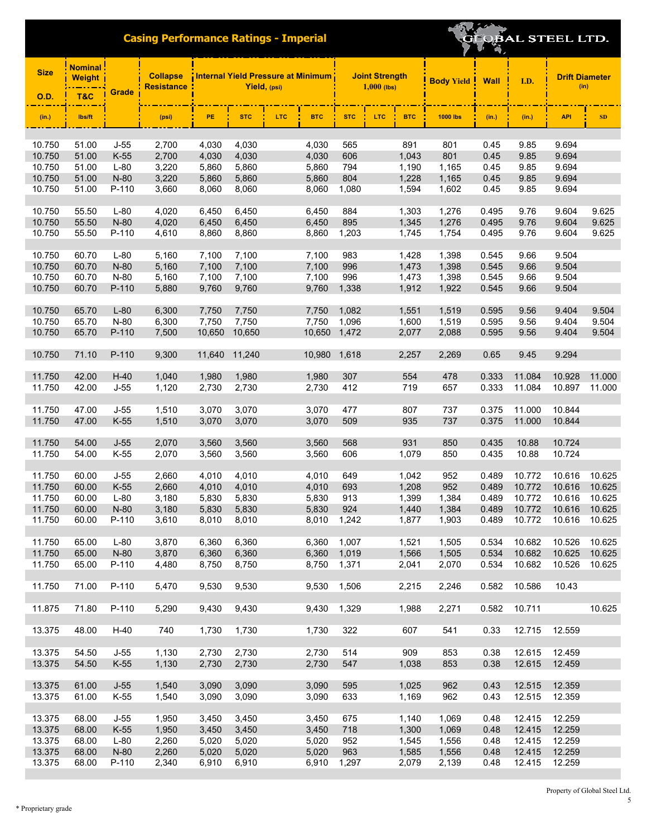| <b>Size</b>      | <b>Nominal</b><br><b>Weight</b> |                  | <b>Collapse</b><br><b>Resistance</b> |                | Yield, (psi)   |            | <b>Internal Yield Pressure at Minimum</b> |            | <b>Joint Strength</b><br>$1,000$ (lbs) |                | <b>Body Yield</b> | <b>Wall</b>    | I.D.             | <b>Drift Diameter</b><br>(in) |        |
|------------------|---------------------------------|------------------|--------------------------------------|----------------|----------------|------------|-------------------------------------------|------------|----------------------------------------|----------------|-------------------|----------------|------------------|-------------------------------|--------|
| <b>O.D.</b>      | <b>T&amp;C</b>                  | Grade            |                                      |                |                |            |                                           |            |                                        |                |                   |                |                  |                               |        |
| (in.)            | lbs/ft                          |                  | (psi)                                | PE             | <b>STC</b>     | <b>LTC</b> | <b>BTC</b>                                | <b>STC</b> | <b>LTC</b>                             | <b>BTC</b>     | <b>1000 lbs</b>   | (in.)          | (in.)            | <b>API</b>                    | SD     |
|                  |                                 |                  |                                      |                |                |            |                                           |            |                                        |                |                   |                |                  |                               |        |
| 10.750           | 51.00                           | $J-55$           | 2,700                                | 4,030          | 4,030          |            | 4,030                                     | 565        |                                        | 891            | 801               | 0.45           | 9.85             | 9.694                         |        |
| 10.750           | 51.00                           | $K-55$           | 2,700                                | 4,030          | 4,030          |            | 4,030                                     | 606        |                                        | 1,043          | 801               | 0.45           | 9.85             | 9.694                         |        |
| 10.750<br>10.750 | 51.00<br>51.00                  | $L-80$<br>$N-80$ | 3,220<br>3,220                       | 5,860<br>5,860 | 5,860<br>5,860 |            | 5,860<br>5,860                            | 794<br>804 |                                        | 1,190<br>1,228 | 1,165<br>1,165    | 0.45<br>0.45   | 9.85<br>9.85     | 9.694<br>9.694                |        |
| 10.750           | 51.00                           | P-110            | 3,660                                | 8,060          | 8,060          |            | 8,060                                     | 1,080      |                                        | 1,594          | 1,602             | 0.45           | 9.85             | 9.694                         |        |
|                  |                                 |                  |                                      |                |                |            |                                           |            |                                        |                |                   |                |                  |                               |        |
| 10.750           | 55.50                           | $L-80$           | 4,020                                | 6,450          | 6.450          |            | 6,450                                     | 884        |                                        | 1,303          | 1,276             | 0.495          | 9.76             | 9.604                         | 9.625  |
| 10.750           | 55.50                           | $N-80$           | 4,020                                | 6,450          | 6,450          |            | 6,450                                     | 895        |                                        | 1,345          | 1,276             | 0.495          | 9.76             | 9.604                         | 9.625  |
| 10.750           | 55.50                           | P-110            | 4,610                                | 8,860          | 8,860          |            | 8,860                                     | 1,203      |                                        | 1,745          | 1,754             | 0.495          | 9.76             | 9.604                         | 9.625  |
| 10.750           | 60.70                           | $L-80$           | 5,160                                | 7,100          | 7,100          |            | 7,100                                     | 983        |                                        | 1,428          | 1,398             | 0.545          | 9.66             | 9.504                         |        |
| 10.750           | 60.70                           | N-80             | 5,160                                | 7,100          | 7,100          |            | 7,100                                     | 996        |                                        | 1,473          | 1,398             | 0.545          | 9.66             | 9.504                         |        |
| 10.750           | 60.70                           | N-80             | 5,160                                | 7,100          | 7,100          |            | 7,100                                     | 996        |                                        | 1,473          | 1,398             | 0.545          | 9.66             | 9.504                         |        |
| 10.750           | 60.70                           | P-110            | 5,880                                | 9,760          | 9,760          |            | 9,760                                     | 1,338      |                                        | 1,912          | 1,922             | 0.545          | 9.66             | 9.504                         |        |
|                  |                                 |                  |                                      |                |                |            |                                           |            |                                        |                |                   |                |                  |                               |        |
| 10.750           | 65.70                           | $L-80$           | 6,300                                | 7,750          | 7,750          |            | 7,750                                     | 1,082      |                                        | 1,551          | 1,519             | 0.595          | 9.56             | 9.404                         | 9.504  |
| 10.750           | 65.70                           | $N-80$           | 6,300                                | 7,750          | 7,750          |            | 7,750                                     | 1,096      |                                        | 1,600          | 1,519             | 0.595          | 9.56             | 9.404                         | 9.504  |
| 10.750           | 65.70                           | P-110            | 7,500                                | 10,650         | 10,650         |            | 10,650                                    | 1,472      |                                        | 2,077          | 2,088             | 0.595          | 9.56             | 9.404                         | 9.504  |
| 10.750           | 71.10                           | $P-110$          | 9,300                                | 11,640         | 11,240         |            | 10,980                                    | 1,618      |                                        | 2,257          | 2,269             | 0.65           | 9.45             | 9.294                         |        |
| 11.750           | 42.00                           | $H-40$           | 1,040                                | 1,980          | 1,980          |            | 1,980                                     | 307        |                                        | 554            | 478               | 0.333          | 11.084           | 10.928                        | 11.000 |
| 11.750           | 42.00                           | $J-55$           | 1,120                                | 2,730          | 2,730          |            | 2,730                                     | 412        |                                        | 719            | 657               | 0.333          | 11.084           | 10.897                        | 11.000 |
|                  |                                 |                  |                                      |                |                |            |                                           |            |                                        |                |                   |                |                  |                               |        |
| 11.750<br>11.750 | 47.00<br>47.00                  | $J-55$<br>$K-55$ | 1,510<br>1,510                       | 3,070<br>3,070 | 3,070<br>3,070 |            | 3,070<br>3,070                            | 477<br>509 |                                        | 807<br>935     | 737<br>737        | 0.375<br>0.375 | 11.000<br>11.000 | 10.844<br>10.844              |        |
|                  |                                 |                  |                                      |                |                |            |                                           |            |                                        |                |                   |                |                  |                               |        |
| 11.750           | 54.00                           | $J-55$           | 2,070                                | 3,560          | 3,560          |            | 3,560                                     | 568        |                                        | 931            | 850               | 0.435          | 10.88            | 10.724                        |        |
| 11.750           | 54.00                           | $K-55$           | 2,070                                | 3,560          | 3,560          |            | 3,560                                     | 606        |                                        | 1,079          | 850               | 0.435          | 10.88            | 10.724                        |        |
|                  |                                 |                  |                                      |                |                |            |                                           |            |                                        |                |                   |                |                  |                               |        |
| 11.750           | 60.00                           | $J-55$           | 2,660                                | 4,010          | 4.010          |            | 4,010                                     | 649        |                                        | 1,042          | 952               | 0.489          | 10.772           | 10.616                        | 10.625 |
| 11.750           | 60.00                           | $K-55$           | 2,660                                | 4,010          | 4,010          |            | 4,010                                     | 693        |                                        | 1,208          | 952               | 0.489          | 10.772           | 10.616                        | 10.625 |
| 11.750           | 60.00                           | $L-80$           | 3,180                                | 5,830          | 5,830          |            | 5,830                                     | 913        |                                        | 1,399          | 1,384             | 0.489          | 10.772           | 10.616                        | 10.625 |
| 11.750           | 60.00                           | N-80             | 3,180                                | 5,830          | 5,830          |            | 5,830                                     | 924        |                                        | 1,440          | 1,384             | 0.489          | 10.772           | 10.616                        | 10.625 |
| 11.750           | 60.00                           | P-110            | 3,610                                | 8,010          | 8,010          |            | 8,010                                     | 1,242      |                                        | 1,877          | 1,903             | 0.489          | 10.772           | 10.616                        | 10.625 |
| 11.750           | 65.00                           | $L-80$           | 3,870                                | 6,360          | 6,360          |            | 6,360                                     | 1,007      |                                        | 1,521          | 1,505             | 0.534          | 10.682           | 10.526                        | 10.625 |
| 11.750           | 65.00                           | N-80             | 3,870                                | 6,360          | 6,360          |            | 6,360                                     | 1,019      |                                        | 1,566          | 1,505             | 0.534          | 10.682           | 10.625                        | 10.625 |
| 11.750           | 65.00                           | P-110            | 4,480                                | 8,750          | 8,750          |            | 8,750                                     | 1,371      |                                        | 2,041          | 2,070             | 0.534          | 10.682           | 10.526                        | 10.625 |
|                  |                                 |                  |                                      |                |                |            |                                           |            |                                        |                |                   |                |                  |                               |        |
| 11.750           | 71.00                           | P-110            | 5,470                                | 9,530          | 9,530          |            | 9,530                                     | 1,506      |                                        | 2,215          | 2,246             | 0.582          | 10.586           | 10.43                         |        |
| 11.875           | 71.80                           | P-110            | 5,290                                | 9,430          | 9,430          |            | 9,430                                     | 1,329      |                                        | 1,988          | 2,271             | 0.582          | 10.711           |                               | 10.625 |
| 13.375           | 48.00                           | $H-40$           | 740                                  | 1,730          | 1,730          |            | 1,730                                     | 322        |                                        | 607            | 541               | 0.33           | 12.715           | 12.559                        |        |
| 13.375           | 54.50                           | $J-55$           | 1,130                                | 2,730          | 2,730          |            | 2,730                                     | 514        |                                        | 909            | 853               | 0.38           | 12.615           | 12.459                        |        |
| 13.375           | 54.50                           | $K-55$           | 1,130                                | 2,730          | 2,730          |            | 2,730                                     | 547        |                                        | 1,038          | 853               | 0.38           | 12.615           | 12.459                        |        |
|                  |                                 |                  |                                      |                |                |            |                                           |            |                                        |                |                   |                |                  |                               |        |
| 13.375           | 61.00                           | $J-55$           | 1,540                                | 3,090          | 3,090          |            | 3,090                                     | 595        |                                        | 1,025          | 962               | 0.43           | 12.515           | 12.359                        |        |
| 13.375           | 61.00                           | K-55             | 1,540                                | 3,090          | 3,090          |            | 3,090                                     | 633        |                                        | 1,169          | 962               | 0.43           | 12.515           | 12.359                        |        |
| 13.375           | 68.00                           | $J-55$           | 1,950                                | 3,450          | 3,450          |            | 3,450                                     | 675        |                                        | 1,140          | 1,069             | 0.48           | 12.415           | 12.259                        |        |
| 13.375           | 68.00                           | $K-55$           | 1,950                                | 3,450          | 3,450          |            | 3,450                                     | 718        |                                        | 1,300          | 1,069             | 0.48           | 12.415           | 12.259                        |        |
| 13.375           | 68.00                           | $L-80$           | 2,260                                | 5,020          | 5,020          |            | 5,020                                     | 952        |                                        | 1,545          | 1,556             | 0.48           | 12.415           | 12.259                        |        |
| 13.375           | 68.00                           | N-80             | 2,260                                | 5,020          | 5,020          |            | 5,020                                     | 963        |                                        | 1,585          | 1,556             | 0.48           | 12.415           | 12.259                        |        |
| 13.375           | 68.00                           | P-110            | 2,340                                | 6,910          | 6,910          |            | 6,910                                     | 1,297      |                                        | 2,079          | 2,139             | 0.48           | 12.415           | 12.259                        |        |

**TLOBAL STEEL LTD.**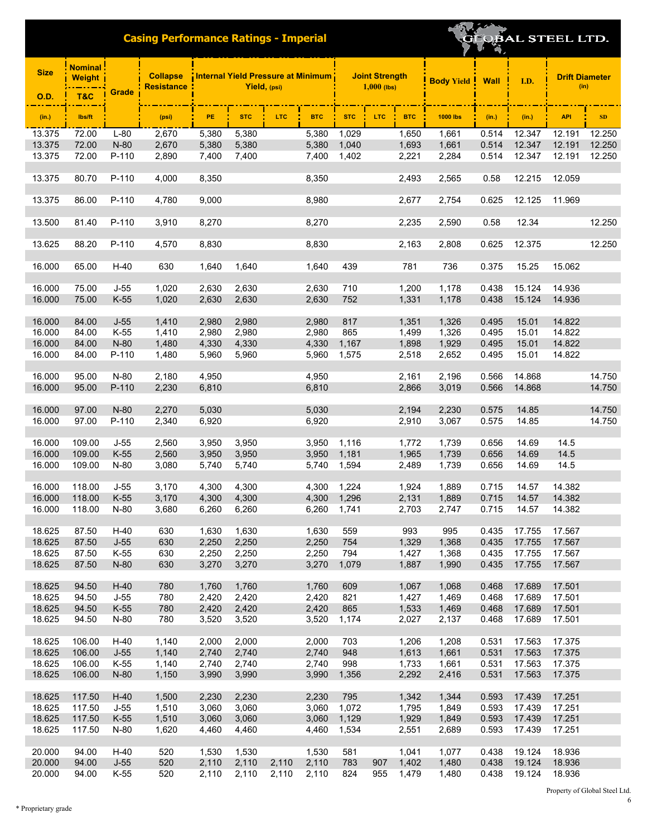| <b>Size</b>      | <mark>Nominal :</mark><br><b>Weight</b> |                  | <b>Collapse</b><br><b>Resistance</b> | Internal Yield Pressure at Minimum<br>Yield, (psi) |                |       |                | <b>Joint Strength</b><br>$1,000$ (lbs) |     |                | <b>Body Yield</b> | <b>Wall</b>    | I.D.             | <b>Drift Diameter</b><br>(in) |                  |
|------------------|-----------------------------------------|------------------|--------------------------------------|----------------------------------------------------|----------------|-------|----------------|----------------------------------------|-----|----------------|-------------------|----------------|------------------|-------------------------------|------------------|
| <b>O.D.</b>      | T&C                                     | Grade            |                                      |                                                    |                |       |                |                                        |     |                |                   |                |                  |                               |                  |
| (in.)            | lbs/ft                                  |                  | (psi)                                | PE                                                 | <b>STC</b>     | LTC.  | <b>BTC</b>     | <b>STC</b>                             | LTC | <b>BTC</b>     | <b>1000 lbs</b>   | (in.)          | (in.)            | <b>API</b>                    | SD               |
| 13.375           | 72.00                                   | $L-80$           | 2,670                                | 5,380                                              | 5,380          |       | 5,380          | 1,029                                  |     | 1,650          | 1,661             | 0.514          | 12.347           | 12.191                        | 12.250           |
| 13.375<br>13.375 | 72.00<br>72.00                          | N-80<br>P-110    | 2,670<br>2,890                       | 5,380<br>7,400                                     | 5,380<br>7,400 |       | 5,380<br>7,400 | 1,040<br>1,402                         |     | 1,693          | 1,661<br>2,284    | 0.514<br>0.514 | 12.347<br>12.347 | 12.191<br>12.191              | 12.250<br>12.250 |
|                  |                                         |                  |                                      |                                                    |                |       |                |                                        |     | 2,221          |                   |                |                  |                               |                  |
| 13.375           | 80.70                                   | P-110            | 4,000                                | 8,350                                              |                |       | 8,350          |                                        |     | 2,493          | 2,565             | 0.58           | 12.215           | 12.059                        |                  |
| 13.375           | 86.00                                   | P-110            | 4,780                                | 9,000                                              |                |       | 8,980          |                                        |     | 2,677          | 2,754             | 0.625          | 12.125           | 11.969                        |                  |
| 13.500           | 81.40                                   | P-110            | 3,910                                | 8,270                                              |                |       | 8,270          |                                        |     | 2,235          | 2,590             | 0.58           | 12.34            |                               | 12.250           |
| 13.625           | 88.20                                   | P-110            | 4,570                                | 8,830                                              |                |       | 8,830          |                                        |     | 2,163          | 2,808             | 0.625          | 12.375           |                               | 12.250           |
| 16.000           | 65.00                                   | $H-40$           | 630                                  | 1,640                                              | 1,640          |       | 1,640          | 439                                    |     | 781            | 736               | 0.375          | 15.25            | 15.062                        |                  |
|                  | 75.00                                   |                  |                                      |                                                    |                |       |                |                                        |     |                |                   |                | 15.124           |                               |                  |
| 16.000<br>16.000 | 75.00                                   | $J-55$<br>$K-55$ | 1,020<br>1,020                       | 2,630<br>2,630                                     | 2,630<br>2,630 |       | 2,630<br>2,630 | 710<br>752                             |     | 1,200<br>1,331 | 1,178<br>1,178    | 0.438<br>0.438 | 15.124           | 14.936<br>14.936              |                  |
|                  |                                         |                  |                                      |                                                    |                |       |                |                                        |     |                |                   |                |                  |                               |                  |
| 16.000           | 84.00                                   | $J-55$           | 1,410                                | 2,980                                              | 2,980          |       | 2,980          | 817                                    |     | 1,351          | 1,326             | 0.495          | 15.01            | 14.822                        |                  |
| 16.000<br>16.000 | 84.00                                   | $K-55$           | 1,410                                | 2,980                                              | 2,980          |       | 2,980          | 865                                    |     | 1,499          | 1,326             | 0.495          | 15.01<br>15.01   | 14.822                        |                  |
| 16.000           | 84.00<br>84.00                          | N-80<br>P-110    | 1,480<br>1,480                       | 4,330<br>5,960                                     | 4,330<br>5,960 |       | 4,330<br>5,960 | 1,167<br>1,575                         |     | 1,898<br>2,518 | 1,929<br>2,652    | 0.495<br>0.495 | 15.01            | 14.822<br>14.822              |                  |
|                  |                                         |                  |                                      |                                                    |                |       |                |                                        |     |                |                   |                |                  |                               |                  |
| 16.000           | 95.00                                   | N-80             | 2,180                                | 4,950                                              |                |       | 4,950          |                                        |     | 2,161          | 2,196             | 0.566          | 14.868           |                               | 14.750           |
| 16.000           | 95.00                                   | P-110            | 2,230                                | 6,810                                              |                |       | 6,810          |                                        |     | 2,866          | 3,019             | 0.566          | 14.868           |                               | 14.750           |
| 16.000           | 97.00                                   | N-80             | 2,270                                | 5,030                                              |                |       | 5,030          |                                        |     | 2,194          | 2,230             | 0.575          | 14.85            |                               | 14.750           |
| 16.000           | 97.00                                   | P-110            | 2,340                                | 6,920                                              |                |       | 6,920          |                                        |     | 2,910          | 3,067             | 0.575          | 14.85            |                               | 14.750           |
|                  |                                         |                  |                                      |                                                    |                |       |                |                                        |     |                |                   |                |                  |                               |                  |
| 16.000           | 109.00                                  | $J-55$           | 2,560                                | 3,950                                              | 3,950          |       | 3,950          | 1,116                                  |     | 1,772          | 1,739             | 0.656          | 14.69            | 14.5                          |                  |
| 16.000           | 109.00                                  | $K-55$           | 2,560                                | 3,950                                              | 3,950          |       | 3,950          | 1,181                                  |     | 1,965          | 1,739             | 0.656          | 14.69            | 14.5                          |                  |
| 16.000           | 109.00                                  | N-80             | 3,080                                | 5,740                                              | 5,740          |       | 5,740          | 1,594                                  |     | 2,489          | 1,739             | 0.656          | 14.69            | 14.5                          |                  |
| 16.000           | 118.00                                  | $J-55$           | 3,170                                | 4,300                                              | 4,300          |       | 4,300          | 1,224                                  |     | 1,924          | 1,889             | 0.715          | 14.57            | 14.382                        |                  |
| 16.000           | 118.00                                  | $K-55$           | 3,170                                | 4,300                                              | 4,300          |       | 4,300          | 1,296                                  |     | 2,131          | 1,889             | 0.715          | 14.57            | 14.382                        |                  |
| 16.000           | 118.00                                  | N-80             | 3,680                                | 6,260                                              | 6,260          |       | 6,260          | 1,741                                  |     | 2,703          | 2,747             | 0.715          | 14.57            | 14.382                        |                  |
| 18.625           | 87.50                                   | $H-40$           | 630                                  | 1,630                                              | 1,630          |       | 1,630          | 559                                    |     | 993            | 995               | 0.435          | 17.755           | 17.567                        |                  |
| 18.625           | 87.50                                   | $J-55$           | 630                                  | 2,250                                              | 2,250          |       | 2,250          | 754                                    |     | 1,329          | 1,368             | 0.435          | 17.755           | 17.567                        |                  |
| 18.625           | 87.50                                   | K-55             | 630                                  | 2,250                                              | 2,250          |       | 2,250          | 794                                    |     | 1,427          | 1,368             | 0.435          | 17.755           | 17.567                        |                  |
| 18.625           | 87.50                                   | N-80             | 630                                  | 3,270                                              | 3,270          |       | 3,270          | 1,079                                  |     | 1,887          | 1,990             | 0.435          | 17.755           | 17.567                        |                  |
| 18.625           | 94.50                                   | $H-40$           | 780                                  | 1,760                                              | 1,760          |       | 1,760          | 609                                    |     | 1,067          | 1,068             | 0.468          | 17.689           | 17.501                        |                  |
| 18.625           | 94.50                                   | $J-55$           | 780                                  | 2,420                                              | 2,420          |       | 2,420          | 821                                    |     | 1,427          | 1,469             | 0.468          | 17.689           | 17.501                        |                  |
| 18.625           | 94.50                                   | $K-55$           | 780                                  | 2,420                                              | 2,420          |       | 2,420          | 865                                    |     | 1,533          | 1,469             | 0.468          | 17.689           | 17.501                        |                  |
| 18.625           | 94.50                                   | N-80             | 780                                  | 3,520                                              | 3,520          |       | 3,520          | 1,174                                  |     | 2,027          | 2,137             | 0.468          | 17.689           | 17.501                        |                  |
| 18.625           | 106.00                                  | $H-40$           | 1,140                                | 2,000                                              | 2,000          |       | 2,000          | 703                                    |     | 1,206          | 1,208             | 0.531          | 17.563           | 17.375                        |                  |
| 18.625           | 106.00                                  | $J-55$           | 1,140                                | 2,740                                              | 2,740          |       | 2,740          | 948                                    |     | 1,613          | 1,661             | 0.531          | 17.563           | 17.375                        |                  |
| 18.625           | 106.00                                  | K-55             | 1,140                                | 2,740                                              | 2.740          |       | 2,740          | 998                                    |     | 1,733          | 1,661             | 0.531          | 17.563           | 17.375                        |                  |
| 18.625           | 106.00                                  | $N-80$           | 1,150                                | 3,990                                              | 3,990          |       | 3,990          | 1,356                                  |     | 2,292          | 2,416             | 0.531          | 17.563           | 17.375                        |                  |
| 18.625           | 117.50                                  | $H-40$           | 1,500                                | 2,230                                              | 2,230          |       | 2,230          | 795                                    |     | 1,342          | 1,344             | 0.593          | 17.439           | 17.251                        |                  |
| 18.625           | 117.50                                  | J-55             | 1,510                                | 3,060                                              | 3,060          |       | 3,060          | 1,072                                  |     | 1,795          | 1,849             | 0.593          | 17.439           | 17.251                        |                  |
| 18.625           | 117.50                                  | $K-55$           | 1,510                                | 3,060                                              | 3,060          |       | 3,060          | 1,129                                  |     | 1,929          | 1,849             | 0.593          | 17.439           | 17.251                        |                  |
| 18.625           | 117.50                                  | N-80             | 1,620                                | 4,460                                              | 4,460          |       | 4,460          | 1,534                                  |     | 2,551          | 2,689             | 0.593          | 17.439           | 17.251                        |                  |
| 20.000           | 94.00                                   | $H-40$           | 520                                  | 1,530                                              | 1,530          |       | 1,530          | 581                                    |     | 1,041          | 1,077             | 0.438          | 19.124           | 18.936                        |                  |
| 20.000           | 94.00                                   | $J-55$           | 520                                  | 2,110                                              | 2,110          | 2,110 | 2,110          | 783                                    | 907 | 1,402          | 1,480             | 0.438          | 19.124           | 18.936                        |                  |
| 20.000           | 94.00                                   | $K-55$           | 520                                  | 2,110                                              | 2,110          | 2,110 | 2,110          | 824                                    | 955 | 1,479          | 1,480             | 0.438          | 19.124           | 18.936                        |                  |

**EQBAL STEEL LTD.**